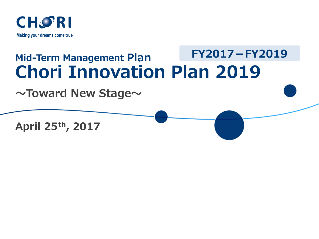

### **Mid-Term Management Plan Chori Innovation Plan 2019 FY2017-FY2019**

**~Toward New Stage~**

**April 25th, 2017**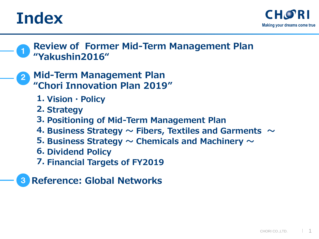



- **Mid-Term Management Plan "Chori Innovation Plan 2019"** 2
	- **1. Vision・Policy**
	- **2. Strategy**
	- **3. Positioning of Mid-Term Management Plan**
	- **4. Business Strategy ~ Fibers, Textiles and Garments ~**
	- **5. Business Strategy ~ Chemicals and Machinery ~**
	- **6. Dividend Policy**
	- **7. Financial Targets of FY2019**
- 3 **Reference: Global Networks**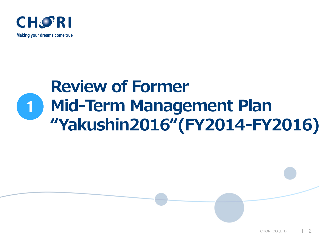

**Making your dreams come true**

# **Review of Former Mid-Term Management Plan "Yakushin2016"(FY2014-FY2016)** 1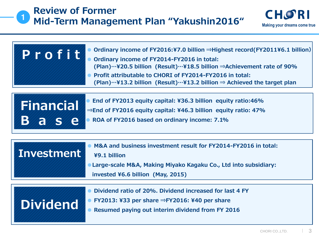

**B a s e**

| Profit | Ordinary income of FY2016:¥7.0 billion $\Rightarrow$ Highest record(FY2011¥6.1 billion)<br>Ordinary income of FY2014-FY2016 in total:<br>(Plan) $\cdots$ ¥20.5 billion (Result) $\cdots$ ¥18.5 billion $\Rightarrow$ Achievement rate of 90%<br>Profit attributable to CHORI of FY2014-FY2016 in total:<br>(Plan)…¥13.2 billion (Result)…¥13.2 billion $\Rightarrow$ Achieved the target plan |
|--------|-----------------------------------------------------------------------------------------------------------------------------------------------------------------------------------------------------------------------------------------------------------------------------------------------------------------------------------------------------------------------------------------------|
|        | End of FY2013 equity capital: ¥36.3 billion equity ratio:46%                                                                                                                                                                                                                                                                                                                                  |

**Financial ⇒End of FY2016 equity capital: ¥46.3 billion equity ratio: 47%**

**● ROA of FY2016 based on ordinary income: 7.1%**

| Investment      | M&A and business investment result for FY2014-FY2016 in total:<br>¥9.1 billion<br>Large-scale M&A, Making Miyako Kagaku Co., Ltd into subsidiary:<br>invested ¥6.6 billion (May, 2015) |
|-----------------|----------------------------------------------------------------------------------------------------------------------------------------------------------------------------------------|
| <b>Dividend</b> | Dividend ratio of 20%. Dividend increased for last 4 FY<br>FY2013: ¥33 per share $\Rightarrow$ FY2016: ¥40 per share<br>Resumed paying out interim dividend from FY 2016               |

**Making your dreams come true**

**CHORI**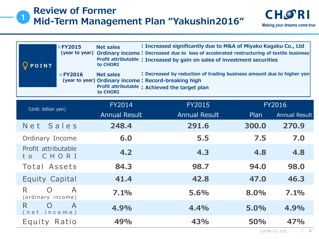### 1 **Review of Former Mid-Term Management Plan "Yakushin2016"**

| POINT                                       | <b>FY2015</b><br><b>Net sales</b><br>(year to year)<br>to CHORI                                  | : Increased significantly due to M&A of Miyako Kagaku Co., Ltd<br>Ordinary income: Decreased due to loss of accelerated restructuring of textile business<br>Profit attributable: Increased by gain on sales of investment securities |       |                      |  |
|---------------------------------------------|--------------------------------------------------------------------------------------------------|---------------------------------------------------------------------------------------------------------------------------------------------------------------------------------------------------------------------------------------|-------|----------------------|--|
|                                             | <b>Net sales</b><br>● FY2016<br>(year to year) Ordinary income: Record-breaking high<br>to CHORI | : Decreased by reduction of trading business amount due to higher yen<br>Profit attributable: Achieved the target plan                                                                                                                |       |                      |  |
| (Unit: billion yen)                         | FY2014                                                                                           | <b>FY2015</b>                                                                                                                                                                                                                         |       | <b>FY2016</b>        |  |
|                                             | <b>Annual Result</b>                                                                             | <b>Annual Result</b>                                                                                                                                                                                                                  | Plan  | <b>Annual Result</b> |  |
| Net Sales                                   | 248.4                                                                                            | 291.6                                                                                                                                                                                                                                 | 300.0 | 270.9                |  |
| Ordinary Income                             | 6.0                                                                                              | 5.5                                                                                                                                                                                                                                   | 7.5   | 7.0                  |  |
| Profit attributable<br>CHORI<br>t o         | 4.2                                                                                              | 4.3                                                                                                                                                                                                                                   | 4.8   | 4.8                  |  |
| Total Assets                                | 84.3                                                                                             | 98.7                                                                                                                                                                                                                                  | 94.0  | 98.0                 |  |
| <b>Equity Capital</b>                       | 41.4                                                                                             | 42.8                                                                                                                                                                                                                                  | 47.0  | 46.3                 |  |
| R.<br>$\left( \right)$<br>(ordinary income) | $\overline{A}$<br>7.1%                                                                           | 5.6%                                                                                                                                                                                                                                  | 8.0%  | 7.1%                 |  |
| R.<br>O<br>(net income)                     | $\mathsf{A}$<br>4.9%                                                                             | 4.4%                                                                                                                                                                                                                                  | 5.0%  | 4.9%                 |  |
| Equity Ratio                                | 49%                                                                                              | 43%                                                                                                                                                                                                                                   | 50%   | 47%                  |  |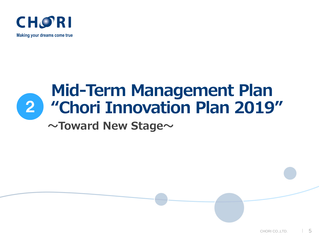

**Making your dreams come true**



# **Mid-Term Management Plan "Chori Innovation Plan 2019"**

### **~Toward New Stage~**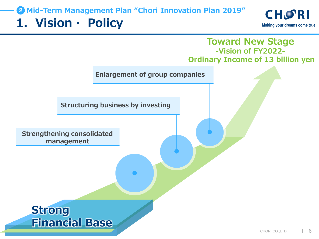### **1.Vision・ Policy** 2 **Mid-Term Management Plan "Chori Innovation Plan 2019"**



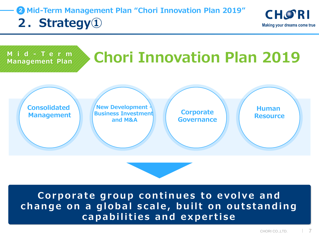**2.Strategy①** 2 **Mid-Term Management Plan "Chori Innovation Plan 2019"**





**Corporate group continues to evolve and change on a global scale, built on outstanding capabilities and expertise**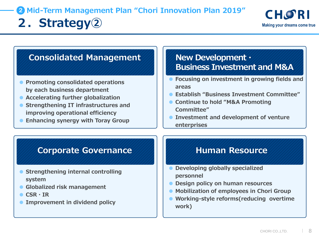## **2.** Michael Strategy<sup>2</sup> Michael Strategy<sup>2</sup> Making your dreams come true 2 **Mid-Term Management Plan "Chori Innovation Plan 2019"**

### **Consolidated Management New Development・**

- **● Promoting consolidated operations by each business department**
- **● Accelerating further globalization**
- **● Strengthening IT infrastructures and improving operational efficiency**
- **● Enhancing synergy with Toray Group**

# **Business Investment and M&A**

- **● Focusing on investment in growing fields and areas**
- **● Establish "Business Investment Committee"**
- **● Continue to hold "M&A Promoting Committee"**
- **● Investment and development of venture enterprises**

### **Corporate Governance All Bullet Human Resource**

- **● Strengthening internal controlling system**
- **● Globalized risk management**
- **● CSR・IR**
- **● Improvement in dividend policy**

- **● Developing globally specialized personnel**
- **● Design policy on human resources**
- **● Mobilization of employees in Chori Group**
- **● Working-style reforms(reducing overtime work)**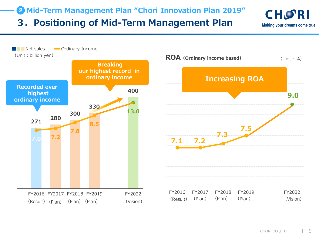**3.Positioning of Mid-Term Management Plan** 2 **Mid-Term Management Plan "Chori Innovation Plan 2019"**





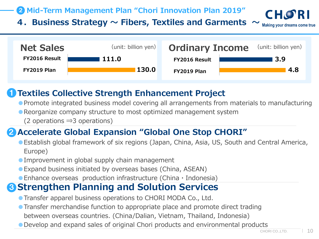2 **Mid-Term Management Plan "Chori Innovation Plan 2019"**

**4.Business Strategy ~ Fibers, Textiles and Garments ~**



#### **Textiles Collective Strength Enhancement Project** 1

●Promote integrated business model covering all arrangements from materials to manufacturing

●Reorganize company structure to most optimized management system

(2 operations ⇒3 operations)

### **2** Accelerate Global Expansion "Global One Stop CHORI"

●Establish global framework of six regions (Japan, China, Asia, US, South and Central America, Europe)

● Improvement in global supply chain management

●Expand business initiated by overseas bases (China, ASEAN)

 $\bullet$  Enhance overseas production infrastructure (China  $\cdot$  Indonesia)

### **3 Strengthen Planning and Solution Services**

**• Transfer apparel business operations to CHORI MODA Co., Ltd.** 

- ●Transfer merchandise function to appropriate place and promote direct trading between overseas countries. (China/Dalian, Vietnam, Thailand, Indonesia)
- ●Develop and expand sales of original Chori products and environmental products

**Making your dreams come true**

CHOR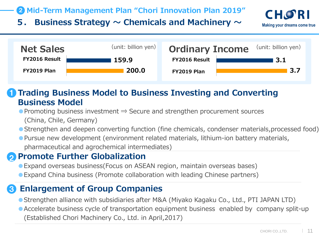### 2 **Mid-Term Management Plan "Chori Innovation Plan 2019"**

**5. Business Strategy ~ Chemicals and Machinery ~**



**Trading Business Model to Business Investing and Converting Business Model** 1

● Promoting business investment  $\Rightarrow$  Secure and strengthen procurement sources (China, Chile, Germany)

● Strengthen and deepen converting function (fine chemicals, condenser materials, processed food)

●Pursue new development (environment related materials, lithium-ion battery materials, pharmaceutical and agrochemical intermediates)

#### **Promote Further Globalization** 2

●Expand overseas business(Focus on ASEAN region, maintain overseas bases)

●Expand China business (Promote collaboration with leading Chinese partners)

### 3 **Enlargement of Group Companies**

● Strengthen alliance with subsidiaries after M&A (Miyako Kagaku Co., Ltd., PTI JAPAN LTD)

●Accelerate business cycle of transportation equipment business enabled by company split-up (Established Chori Machinery Co., Ltd. in April,2017)

**Making your dreams come true**

**CHORI**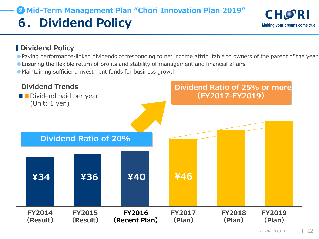## **6.Dividend Policy** 2 **Mid-Term Management Plan "Chori Innovation Plan 2019"**

### **Dividend Policy**

- ●Paying performance-linked dividends corresponding to net income attributable to owners of the parent of the year
- ●Ensuring the flexible return of profits and stability of management and financial affairs
- ●Maintaining sufficient investment funds for business growth

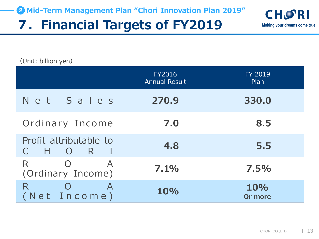# **7.Financial Targets of FY2019**



(Unit: billion yen)

|                                                                  | <b>FY2016</b><br><b>Annual Result</b> | <b>FY 2019</b><br>Plan |
|------------------------------------------------------------------|---------------------------------------|------------------------|
| Net Sales                                                        | 270.9                                 | 330.0                  |
| Ordinary Income                                                  | 7.0                                   | 8.5                    |
| Profit attributable to<br>– H<br>R.<br>$\bigcirc$                | 4.8                                   | 5.5                    |
| R<br>$\bigcap$<br>$\boldsymbol{\mathsf{A}}$<br>(Ordinary Income) | 7.1%                                  | 7.5%                   |
| R<br>$\boldsymbol{\mathsf{A}}$<br>(Net Income)                   | 10%                                   | 10%<br>Or more         |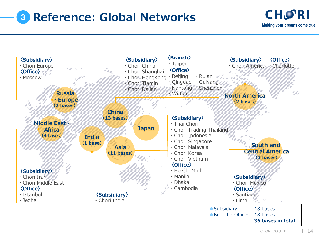# <sup>3</sup> **Reference: Global Networks**